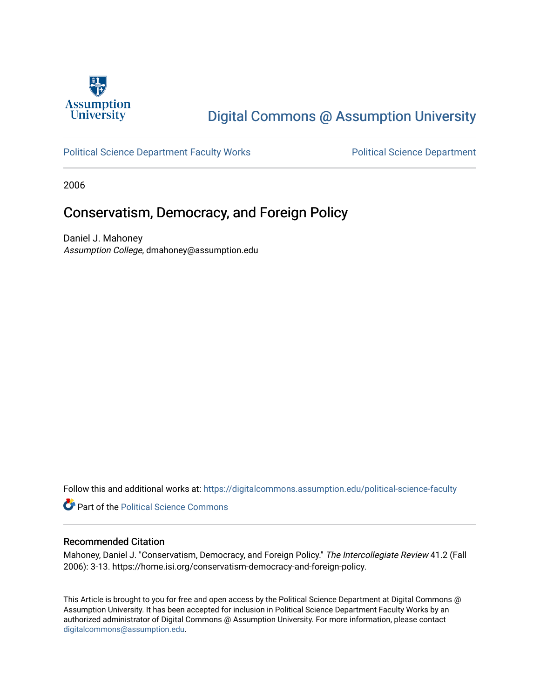

### [Digital Commons @ Assumption University](https://digitalcommons.assumption.edu/)

#### [Political Science Department Faculty Works](https://digitalcommons.assumption.edu/political-science-faculty) **Political Science Department**

2006

### Conservatism, Democracy, and Foreign Policy

Daniel J. Mahoney Assumption College, dmahoney@assumption.edu

Follow this and additional works at: [https://digitalcommons.assumption.edu/political-science-faculty](https://digitalcommons.assumption.edu/political-science-faculty?utm_source=digitalcommons.assumption.edu%2Fpolitical-science-faculty%2F26&utm_medium=PDF&utm_campaign=PDFCoverPages)

**Part of the Political Science Commons** 

#### Recommended Citation

Mahoney, Daniel J. "Conservatism, Democracy, and Foreign Policy." The Intercollegiate Review 41.2 (Fall 2006): 3-13. https://home.isi.org/conservatism-democracy-and-foreign-policy.

This Article is brought to you for free and open access by the Political Science Department at Digital Commons @ Assumption University. It has been accepted for inclusion in Political Science Department Faculty Works by an authorized administrator of Digital Commons @ Assumption University. For more information, please contact [digitalcommons@assumption.edu](mailto:digitalcommons@assumption.edu).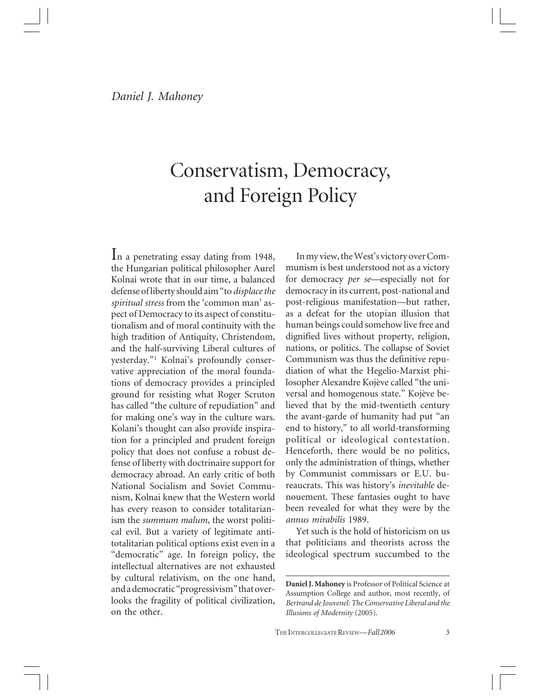# Conservatism, Democracy, and Foreign Policy

In a penetrating essay dating from 1948, the Hungarian political philosopher Aurel Kolnai wrote that in our time, a balanced defense of liberty should aim "to *displacethe spiritual stress* from the 'common man' aspect of Democracy to its aspect of constitutionalism and of moral continuity with the high tradition of Antiquity, Christendom, and the half-surviving Liberal cultures of yesterday."1 Kolnai's profoundly conservative appreciation of the moral foundations of democracy provides a principled ground for resisting what Roger Scruton has called "the culture of repudiation" and for making one's way in the culture wars. Kolani's thought can also provide inspiration for a principled and prudent foreign policy that does not confuse a robust defense of liberty with doctrinaire support for democracy abroad. An early critic of both National Socialism and Soviet Communism, Kolnai knew that the Western world has every reason to consider totalitarianism the *summum malum*, the worst political evil. But a variety of legitimate antitotalitarian political options exist even in a "democratic" age. In foreign policy, the intellectual alternatives are not exhausted by cultural relativism, on the one hand, and a democratic "progressivism" that overlooks the fragility of political civilization, on the other.

In my view, the West's victory over Communism is best understood not as a victory for democracy *per se*—especially not for democracy in its current, post-national and post-religious manifestation—but rather, as a defeat for the utopian illusion that human beings could somehow live free and dignified lives without property, religion, nations, or politics. The collapse of Soviet Communism was thus the definitive repudiation of what the Hegelio-Marxist philosopher Alexandre Kojève called "the universal and homogenous state." Kojève believed that by the mid-twentieth century the avant-garde of humanity had put "an end to history," to all world-transforming political or ideological contestation. Henceforth, there would be no politics, only the administration of things, whether by Communist commissars or E.U. bureaucrats. This was history's *inevitable* denouement. These fantasies ought to have been revealed for what they were by the *annus mirabilis* 1989.

Yet such is the hold of historicism on us that politicians and theorists across the ideological spectrum succumbed to the

**Daniel J. Mahoney** is Professor of Political Science at Assumption College and author, most recently, of *Bertrand de Jouvenel: The Conservative Liberal and the Illusions of Modernity* (2005).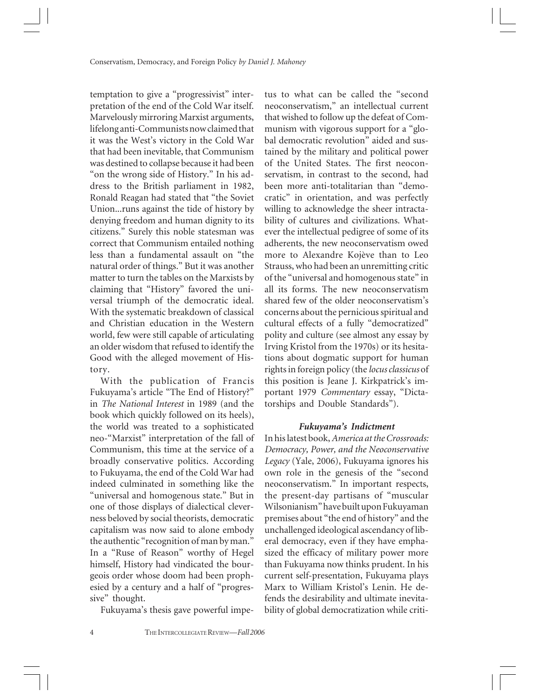temptation to give a "progressivist" interpretation of the end of the Cold War itself. Marvelously mirroring Marxist arguments, lifelong anti-Communists now claimed that it was the West's victory in the Cold War that had been inevitable, that Communism was destined to collapse because it had been "on the wrong side of History." In his address to the British parliament in 1982, Ronald Reagan had stated that "the Soviet Union...runs against the tide of history by denying freedom and human dignity to its citizens." Surely this noble statesman was correct that Communism entailed nothing less than a fundamental assault on "the natural order of things." But it was another matter to turn the tables on the Marxists by claiming that "History" favored the universal triumph of the democratic ideal. With the systematic breakdown of classical and Christian education in the Western world, few were still capable of articulating an older wisdom that refused to identify the Good with the alleged movement of History.

With the publication of Francis Fukuyama's article "The End of History?" in *The National Interest* in 1989 (and the book which quickly followed on its heels), the world was treated to a sophisticated neo-"Marxist" interpretation of the fall of Communism, this time at the service of a broadly conservative politics. According to Fukuyama, the end of the Cold War had indeed culminated in something like the "universal and homogenous state." But in one of those displays of dialectical cleverness beloved by social theorists, democratic capitalism was now said to alone embody the authentic "recognition of man by man." In a "Ruse of Reason" worthy of Hegel himself, History had vindicated the bourgeois order whose doom had been prophesied by a century and a half of "progressive" thought.

Fukuyama's thesis gave powerful impe-

tus to what can be called the "second neoconservatism," an intellectual current that wished to follow up the defeat of Communism with vigorous support for a "global democratic revolution" aided and sustained by the military and political power of the United States. The first neoconservatism, in contrast to the second, had been more anti-totalitarian than "democratic" in orientation, and was perfectly willing to acknowledge the sheer intractability of cultures and civilizations. Whatever the intellectual pedigree of some of its adherents, the new neoconservatism owed more to Alexandre Kojève than to Leo Strauss, who had been an unremitting critic of the "universal and homogenous state" in all its forms. The new neoconservatism shared few of the older neoconservatism's concerns about the pernicious spiritual and cultural effects of a fully "democratized" polity and culture (see almost any essay by Irving Kristol from the 1970s) or its hesitations about dogmatic support for human rights in foreign policy (the *locus classicus* of this position is Jeane J. Kirkpatrick's important 1979 *Commentary* essay, "Dictatorships and Double Standards").

#### *Fukuyama's Indictment*

In his latest book, *America at the Crossroads: Democracy, Power, and the Neoconservative Legacy* (Yale, 2006), Fukuyama ignores his own role in the genesis of the "second neoconservatism." In important respects, the present-day partisans of "muscular Wilsonianism" have built upon Fukuyaman premises about "the end of history" and the unchallenged ideological ascendancy of liberal democracy, even if they have emphasized the efficacy of military power more than Fukuyama now thinks prudent. In his current self-presentation, Fukuyama plays Marx to William Kristol's Lenin. He defends the desirability and ultimate inevitability of global democratization while criti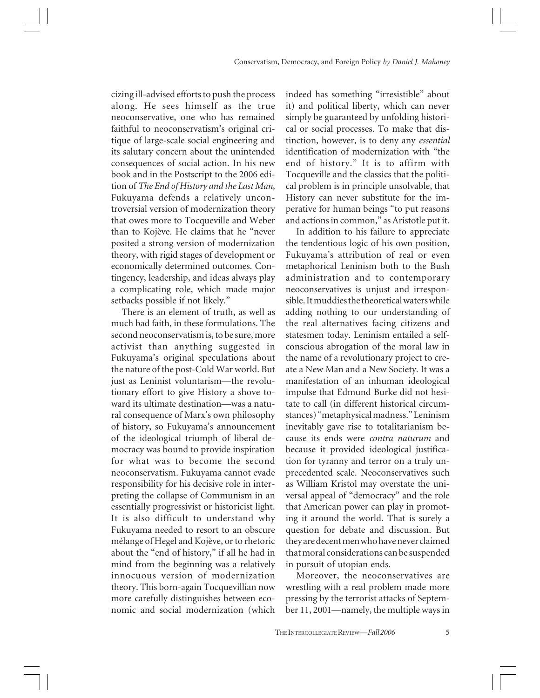cizing ill-advised efforts to push the process along. He sees himself as the true neoconservative, one who has remained faithful to neoconservatism's original critique of large-scale social engineering and its salutary concern about the unintended consequences of social action. In his new book and in the Postscript to the 2006 edition of *The End of History and the Last Man*, Fukuyama defends a relatively uncontroversial version of modernization theory that owes more to Tocqueville and Weber than to Kojève. He claims that he "never posited a strong version of modernization theory, with rigid stages of development or economically determined outcomes. Contingency, leadership, and ideas always play a complicating role, which made major setbacks possible if not likely."

There is an element of truth, as well as much bad faith, in these formulations. The second neoconservatism is, to be sure, more activist than anything suggested in Fukuyama's original speculations about the nature of the post-Cold War world. But just as Leninist voluntarism—the revolutionary effort to give History a shove toward its ultimate destination—was a natural consequence of Marx's own philosophy of history, so Fukuyama's announcement of the ideological triumph of liberal democracy was bound to provide inspiration for what was to become the second neoconservatism. Fukuyama cannot evade responsibility for his decisive role in interpreting the collapse of Communism in an essentially progressivist or historicist light. It is also difficult to understand why Fukuyama needed to resort to an obscure mélange of Hegel and Kojève, or to rhetoric about the "end of history," if all he had in mind from the beginning was a relatively innocuous version of modernization theory. This born-again Tocquevillian now more carefully distinguishes between economic and social modernization (which

indeed has something "irresistible" about it) and political liberty, which can never simply be guaranteed by unfolding historical or social processes. To make that distinction, however, is to deny any *essential* identification of modernization with "the end of history." It is to affirm with Tocqueville and the classics that the political problem is in principle unsolvable, that History can never substitute for the imperative for human beings "to put reasons and actions in common," as Aristotle put it.

In addition to his failure to appreciate the tendentious logic of his own position, Fukuyama's attribution of real or even metaphorical Leninism both to the Bush administration and to contemporary neoconservatives is unjust and irresponsible. It muddies the theoretical waters while adding nothing to our understanding of the real alternatives facing citizens and statesmen today. Leninism entailed a selfconscious abrogation of the moral law in the name of a revolutionary project to create a New Man and a New Society. It was a manifestation of an inhuman ideological impulse that Edmund Burke did not hesitate to call (in different historical circumstances) "metaphysical madness." Leninism inevitably gave rise to totalitarianism because its ends were *contra naturum* and because it provided ideological justification for tyranny and terror on a truly unprecedented scale. Neoconservatives such as William Kristol may overstate the universal appeal of "democracy" and the role that American power can play in promoting it around the world. That is surely a question for debate and discussion. But they are decent men who have never claimed that moral considerations can be suspended in pursuit of utopian ends.

Moreover, the neoconservatives are wrestling with a real problem made more pressing by the terrorist attacks of September 11, 2001—namely, the multiple ways in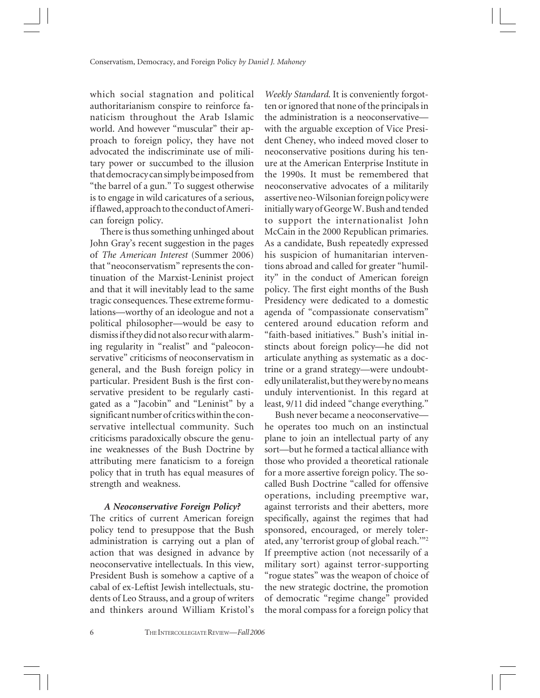which social stagnation and political authoritarianism conspire to reinforce fanaticism throughout the Arab Islamic world. And however "muscular" their approach to foreign policy, they have not advocated the indiscriminate use of military power or succumbed to the illusion that democracy can simply be imposed from "the barrel of a gun." To suggest otherwise is to engage in wild caricatures of a serious, if flawed, approach to the conduct of American foreign policy.

There is thus something unhinged about John Gray's recent suggestion in the pages of *The American Interest* (Summer 2006) that "neoconservatism" represents the continuation of the Marxist-Leninist project and that it will inevitably lead to the same tragic consequences. These extreme formulations—worthy of an ideologue and not a political philosopher—would be easy to dismiss if they did not also recur with alarming regularity in "realist" and "paleoconservative" criticisms of neoconservatism in general, and the Bush foreign policy in particular. President Bush is the first conservative president to be regularly castigated as a "Jacobin" and "Leninist" by a significant number of critics within the conservative intellectual community. Such criticisms paradoxically obscure the genuine weaknesses of the Bush Doctrine by attributing mere fanaticism to a foreign policy that in truth has equal measures of strength and weakness.

#### *A Neoconservative Foreign Policy?*

The critics of current American foreign policy tend to presuppose that the Bush administration is carrying out a plan of action that was designed in advance by neoconservative intellectuals. In this view, President Bush is somehow a captive of a cabal of ex-Leftist Jewish intellectuals, students of Leo Strauss, and a group of writers and thinkers around William Kristol's

*Weekly Standard*. It is conveniently forgotten or ignored that none of the principals in the administration is a neoconservative with the arguable exception of Vice President Cheney, who indeed moved closer to neoconservative positions during his tenure at the American Enterprise Institute in the 1990s. It must be remembered that neoconservative advocates of a militarily assertive neo-Wilsonian foreign policy were initially wary of George W. Bush and tended to support the internationalist John McCain in the 2000 Republican primaries. As a candidate, Bush repeatedly expressed his suspicion of humanitarian interventions abroad and called for greater "humility" in the conduct of American foreign policy. The first eight months of the Bush Presidency were dedicated to a domestic agenda of "compassionate conservatism" centered around education reform and "faith-based initiatives." Bush's initial instincts about foreign policy—he did not articulate anything as systematic as a doctrine or a grand strategy—were undoubtedly unilateralist, but they were by no means unduly interventionist. In this regard at least, 9/11 did indeed "change everything."

Bush never became a neoconservative he operates too much on an instinctual plane to join an intellectual party of any sort—but he formed a tactical alliance with those who provided a theoretical rationale for a more assertive foreign policy. The socalled Bush Doctrine "called for offensive operations, including preemptive war, against terrorists and their abetters, more specifically, against the regimes that had sponsored, encouraged, or merely tolerated, any 'terrorist group of global reach.'"2 If preemptive action (not necessarily of a military sort) against terror-supporting "rogue states" was the weapon of choice of the new strategic doctrine, the promotion of democratic "regime change" provided the moral compass for a foreign policy that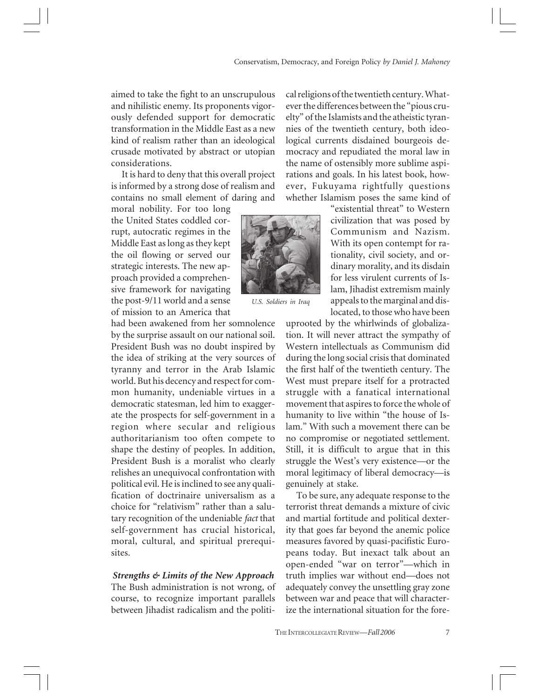aimed to take the fight to an unscrupulous and nihilistic enemy. Its proponents vigorously defended support for democratic transformation in the Middle East as a new kind of realism rather than an ideological crusade motivated by abstract or utopian considerations.

It is hard to deny that this overall project is informed by a strong dose of realism and contains no small element of daring and

moral nobility. For too long the United States coddled corrupt, autocratic regimes in the Middle East as long as they kept the oil flowing or served our strategic interests. The new approach provided a comprehensive framework for navigating the post-9/11 world and a sense of mission to an America that

had been awakened from her somnolence by the surprise assault on our national soil. President Bush was no doubt inspired by the idea of striking at the very sources of tyranny and terror in the Arab Islamic world. But his decency and respect for common humanity, undeniable virtues in a democratic statesman, led him to exaggerate the prospects for self-government in a region where secular and religious authoritarianism too often compete to shape the destiny of peoples. In addition, President Bush is a moralist who clearly relishes an unequivocal confrontation with political evil. He is inclined to see any qualification of doctrinaire universalism as a choice for "relativism" rather than a salutary recognition of the undeniable *fact* that self-government has crucial historical, moral, cultural, and spiritual prerequisites.

#### *Strengths & Limits of the New Approach*

The Bush administration is not wrong, of course, to recognize important parallels between Jihadist radicalism and the political religions of the twentieth century. Whatever the differences between the "pious cruelty" of the Islamists and the atheistic tyrannies of the twentieth century, both ideological currents disdained bourgeois democracy and repudiated the moral law in the name of ostensibly more sublime aspirations and goals. In his latest book, however, Fukuyama rightfully questions whether Islamism poses the same kind of

> "existential threat" to Western civilization that was posed by Communism and Nazism. With its open contempt for rationality, civil society, and ordinary morality, and its disdain for less virulent currents of Islam, Jihadist extremism mainly appeals to the marginal and dislocated, to those who have been

uprooted by the whirlwinds of globalization. It will never attract the sympathy of Western intellectuals as Communism did during the long social crisis that dominated the first half of the twentieth century. The West must prepare itself for a protracted struggle with a fanatical international movement that aspires to force the whole of humanity to live within "the house of Islam." With such a movement there can be no compromise or negotiated settlement. Still, it is difficult to argue that in this struggle the West's very existence—or the moral legitimacy of liberal democracy—is genuinely at stake.

To be sure, any adequate response to the terrorist threat demands a mixture of civic and martial fortitude and political dexterity that goes far beyond the anemic police measures favored by quasi-pacifistic Europeans today. But inexact talk about an open-ended "war on terror"—which in truth implies war without end—does not adequately convey the unsettling gray zone between war and peace that will characterize the international situation for the fore-

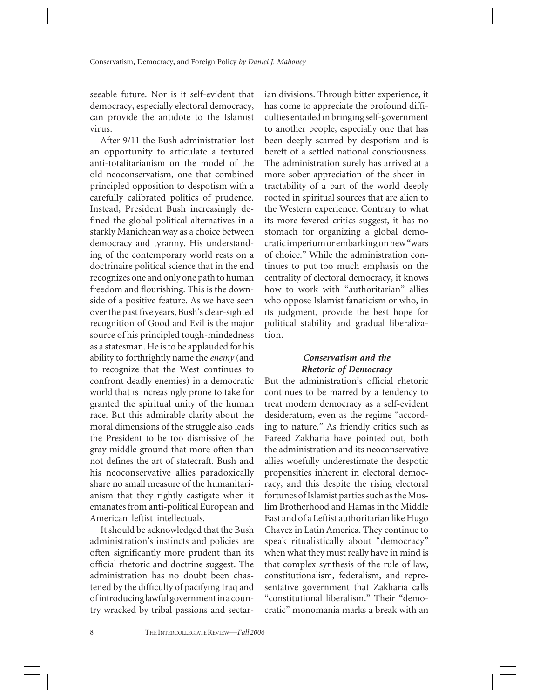seeable future. Nor is it self-evident that democracy, especially electoral democracy, can provide the antidote to the Islamist virus.

After 9/11 the Bush administration lost an opportunity to articulate a textured anti-totalitarianism on the model of the old neoconservatism, one that combined principled opposition to despotism with a carefully calibrated politics of prudence. Instead, President Bush increasingly defined the global political alternatives in a starkly Manichean way as a choice between democracy and tyranny. His understanding of the contemporary world rests on a doctrinaire political science that in the end recognizes one and only one path to human freedom and flourishing. This is the downside of a positive feature. As we have seen over the past five years, Bush's clear-sighted recognition of Good and Evil is the major source of his principled tough-mindedness as a statesman. He is to be applauded for his ability to forthrightly name the *enemy* (and to recognize that the West continues to confront deadly enemies) in a democratic world that is increasingly prone to take for granted the spiritual unity of the human race. But this admirable clarity about the moral dimensions of the struggle also leads the President to be too dismissive of the gray middle ground that more often than not defines the art of statecraft. Bush and his neoconservative allies paradoxically share no small measure of the humanitarianism that they rightly castigate when it emanates from anti-political European and American leftist intellectuals.

It should be acknowledged that the Bush administration's instincts and policies are often significantly more prudent than its official rhetoric and doctrine suggest. The administration has no doubt been chastened by the difficulty of pacifying Iraq and of introducing lawful government in a country wracked by tribal passions and sectarian divisions. Through bitter experience, it has come to appreciate the profound difficulties entailed in bringing self-government to another people, especially one that has been deeply scarred by despotism and is bereft of a settled national consciousness. The administration surely has arrived at a more sober appreciation of the sheer intractability of a part of the world deeply rooted in spiritual sources that are alien to the Western experience. Contrary to what its more fevered critics suggest, it has no stomach for organizing a global democratic imperium or embarking on new "wars of choice." While the administration continues to put too much emphasis on the centrality of electoral democracy, it knows how to work with "authoritarian" allies who oppose Islamist fanaticism or who, in its judgment, provide the best hope for political stability and gradual liberalization.

#### *Conservatism and the Rhetoric of Democracy*

But the administration's official rhetoric continues to be marred by a tendency to treat modern democracy as a self-evident desideratum, even as the regime "according to nature." As friendly critics such as Fareed Zakharia have pointed out, both the administration and its neoconservative allies woefully underestimate the despotic propensities inherent in electoral democracy, and this despite the rising electoral fortunes of Islamist parties such as the Muslim Brotherhood and Hamas in the Middle East and of a Leftist authoritarian like Hugo Chavez in Latin America. They continue to speak ritualistically about "democracy" when what they must really have in mind is that complex synthesis of the rule of law, constitutionalism, federalism, and representative government that Zakharia calls "constitutional liberalism." Their "democratic" monomania marks a break with an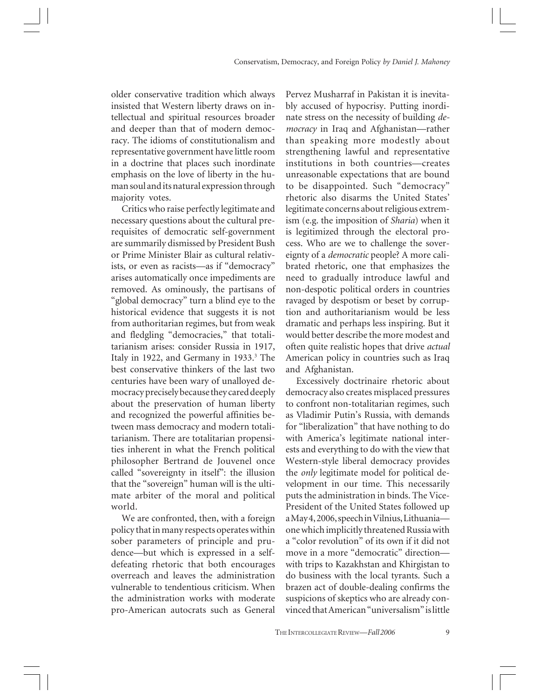older conservative tradition which always insisted that Western liberty draws on intellectual and spiritual resources broader and deeper than that of modern democracy. The idioms of constitutionalism and representative government have little room in a doctrine that places such inordinate emphasis on the love of liberty in the human soul and its natural expression through majority votes.

Critics who raise perfectly legitimate and necessary questions about the cultural prerequisites of democratic self-government are summarily dismissed by President Bush or Prime Minister Blair as cultural relativists, or even as racists—as if "democracy" arises automatically once impediments are removed. As ominously, the partisans of "global democracy" turn a blind eye to the historical evidence that suggests it is not from authoritarian regimes, but from weak and fledgling "democracies," that totalitarianism arises: consider Russia in 1917, Italy in 1922, and Germany in 1933.<sup>3</sup> The best conservative thinkers of the last two centuries have been wary of unalloyed democracy precisely because they cared deeply about the preservation of human liberty and recognized the powerful affinities between mass democracy and modern totalitarianism. There are totalitarian propensities inherent in what the French political philosopher Bertrand de Jouvenel once called "sovereignty in itself": the illusion that the "sovereign" human will is the ultimate arbiter of the moral and political world.

We are confronted, then, with a foreign policy that in many respects operates within sober parameters of principle and prudence—but which is expressed in a selfdefeating rhetoric that both encourages overreach and leaves the administration vulnerable to tendentious criticism. When the administration works with moderate pro-American autocrats such as General Pervez Musharraf in Pakistan it is inevitably accused of hypocrisy. Putting inordinate stress on the necessity of building *democracy* in Iraq and Afghanistan—rather than speaking more modestly about strengthening lawful and representative institutions in both countries—creates unreasonable expectations that are bound to be disappointed. Such "democracy" rhetoric also disarms the United States' legitimate concerns about religious extremism (e.g. the imposition of *Sharia*) when it is legitimized through the electoral process. Who are we to challenge the sovereignty of a *democratic* people? A more calibrated rhetoric, one that emphasizes the need to gradually introduce lawful and non-despotic political orders in countries ravaged by despotism or beset by corruption and authoritarianism would be less dramatic and perhaps less inspiring. But it would better describe the more modest and often quite realistic hopes that drive *actual* American policy in countries such as Iraq and Afghanistan.

Excessively doctrinaire rhetoric about democracy also creates misplaced pressures to confront non-totalitarian regimes, such as Vladimir Putin's Russia, with demands for "liberalization" that have nothing to do with America's legitimate national interests and everything to do with the view that Western-style liberal democracy provides the *only* legitimate model for political development in our time. This necessarily puts the administration in binds. The Vice-President of the United States followed up a May 4, 2006, speech in Vilnius, Lithuania one which implicitly threatened Russia with a "color revolution" of its own if it did not move in a more "democratic" direction with trips to Kazakhstan and Khirgistan to do business with the local tyrants. Such a brazen act of double-dealing confirms the suspicions of skeptics who are already convinced that American "universalism" is little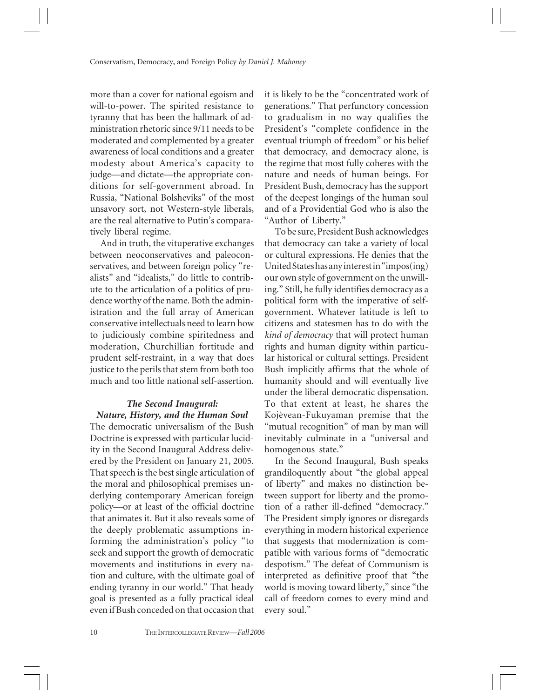more than a cover for national egoism and will-to-power. The spirited resistance to tyranny that has been the hallmark of administration rhetoric since 9/11 needs to be moderated and complemented by a greater awareness of local conditions and a greater modesty about America's capacity to judge—and dictate—the appropriate conditions for self-government abroad. In Russia, "National Bolsheviks" of the most unsavory sort, not Western-style liberals, are the real alternative to Putin's comparatively liberal regime.

And in truth, the vituperative exchanges between neoconservatives and paleoconservatives, and between foreign policy "realists" and "idealists," do little to contribute to the articulation of a politics of prudence worthy of the name. Both the administration and the full array of American conservative intellectuals need to learn how to judiciously combine spiritedness and moderation, Churchillian fortitude and prudent self-restraint, in a way that does justice to the perils that stem from both too much and too little national self-assertion.

#### *The Second Inaugural: Nature, History, and the Human Soul*

The democratic universalism of the Bush Doctrine is expressed with particular lucidity in the Second Inaugural Address delivered by the President on January 21, 2005. That speech is the best single articulation of the moral and philosophical premises underlying contemporary American foreign policy—or at least of the official doctrine that animates it. But it also reveals some of the deeply problematic assumptions informing the administration's policy "to seek and support the growth of democratic movements and institutions in every nation and culture, with the ultimate goal of ending tyranny in our world." That heady goal is presented as a fully practical ideal even if Bush conceded on that occasion that it is likely to be the "concentrated work of generations." That perfunctory concession to gradualism in no way qualifies the President's "complete confidence in the eventual triumph of freedom" or his belief that democracy, and democracy alone, is the regime that most fully coheres with the nature and needs of human beings. For President Bush, democracy has the support of the deepest longings of the human soul and of a Providential God who is also the "Author of Liberty."

To be sure, President Bush acknowledges that democracy can take a variety of local or cultural expressions. He denies that the United States has any interest in "impos(ing) our own style of government on the unwilling." Still, he fully identifies democracy as a political form with the imperative of selfgovernment. Whatever latitude is left to citizens and statesmen has to do with the *kind of democracy* that will protect human rights and human dignity within particular historical or cultural settings. President Bush implicitly affirms that the whole of humanity should and will eventually live under the liberal democratic dispensation. To that extent at least, he shares the Kojèvean-Fukuyaman premise that the "mutual recognition" of man by man will inevitably culminate in a "universal and homogenous state."

In the Second Inaugural, Bush speaks grandiloquently about "the global appeal of liberty" and makes no distinction between support for liberty and the promotion of a rather ill-defined "democracy." The President simply ignores or disregards everything in modern historical experience that suggests that modernization is compatible with various forms of "democratic despotism." The defeat of Communism is interpreted as definitive proof that "the world is moving toward liberty," since "the call of freedom comes to every mind and every soul."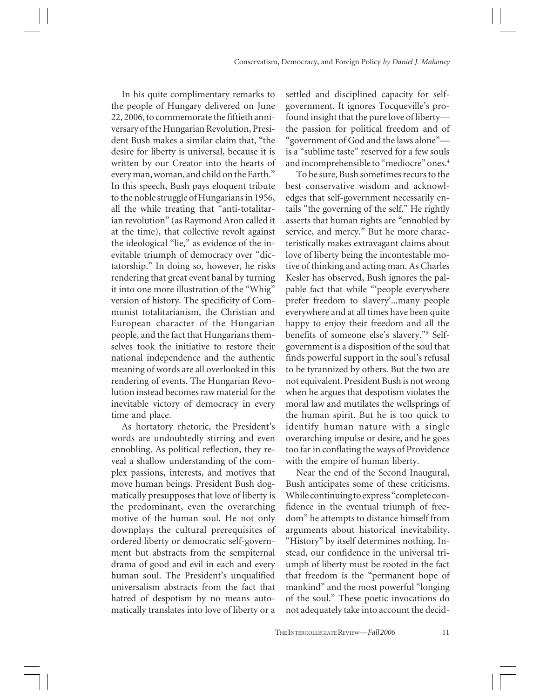In his quite complimentary remarks to the people of Hungary delivered on June 22, 2006, to commemorate the fiftieth anniversary of the Hungarian Revolution, President Bush makes a similar claim that, "the desire for liberty is universal, because it is written by our Creator into the hearts of every man, woman, and child on the Earth." In this speech, Bush pays eloquent tribute to the noble struggle of Hungarians in 1956, all the while treating that "anti-totalitarian revolution" (as Raymond Aron called it at the time), that collective revolt against the ideological "lie," as evidence of the inevitable triumph of democracy over "dictatorship." In doing so, however, he risks rendering that great event banal by turning it into one more illustration of the "Whig" version of history. The specificity of Communist totalitarianism, the Christian and European character of the Hungarian people, and the fact that Hungarians themselves took the initiative to restore their national independence and the authentic meaning of words are all overlooked in this rendering of events. The Hungarian Revolution instead becomes raw material for the inevitable victory of democracy in every time and place.

As hortatory rhetoric, the President's words are undoubtedly stirring and even ennobling. As political reflection, they reveal a shallow understanding of the complex passions, interests, and motives that move human beings. President Bush dogmatically presupposes that love of liberty is the predominant, even the overarching motive of the human soul. He not only downplays the cultural prerequisites of ordered liberty or democratic self-government but abstracts from the sempiternal drama of good and evil in each and every human soul. The President's unqualified universalism abstracts from the fact that hatred of despotism by no means automatically translates into love of liberty or a

settled and disciplined capacity for selfgovernment. It ignores Tocqueville's profound insight that the pure love of liberty the passion for political freedom and of "government of God and the laws alone" is a "sublime taste" reserved for a few souls and incomprehensible to "mediocre" ones.<sup>4</sup>

To be sure, Bush sometimes recurs to the best conservative wisdom and acknowledges that self-government necessarily entails "the governing of the self." He rightly asserts that human rights are "ennobled by service, and mercy." But he more characteristically makes extravagant claims about love of liberty being the incontestable motive of thinking and acting man. As Charles Kesler has observed, Bush ignores the palpable fact that while "'people everywhere prefer freedom to slavery'...many people everywhere and at all times have been quite happy to enjoy their freedom and all the benefits of someone else's slavery."5 Selfgovernment is a disposition of the soul that finds powerful support in the soul's refusal to be tyrannized by others. But the two are not equivalent. President Bush is not wrong when he argues that despotism violates the moral law and mutilates the wellsprings of the human spirit. But he is too quick to identify human nature with a single overarching impulse or desire, and he goes too far in conflating the ways of Providence with the empire of human liberty.

Near the end of the Second Inaugural, Bush anticipates some of these criticisms. While continuing to express "complete confidence in the eventual triumph of freedom" he attempts to distance himself from arguments about historical inevitability. "History" by itself determines nothing. Instead, our confidence in the universal triumph of liberty must be rooted in the fact that freedom is the "permanent hope of mankind" and the most powerful "longing of the soul." These poetic invocations do not adequately take into account the decid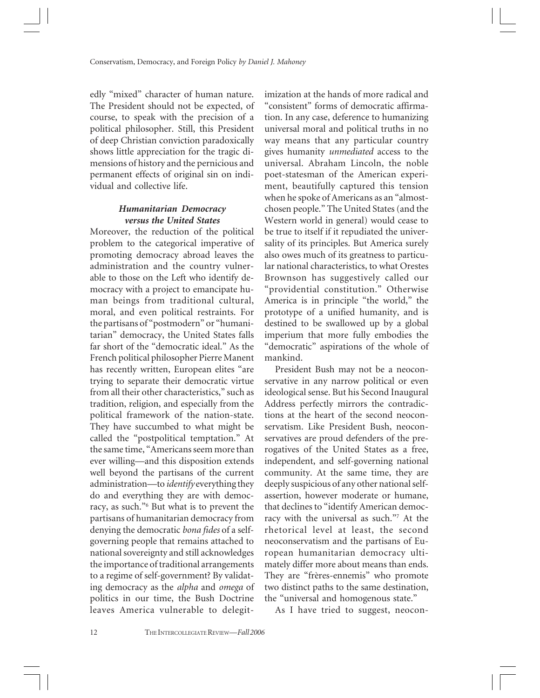edly "mixed" character of human nature. The President should not be expected, of course, to speak with the precision of a political philosopher. Still, this President of deep Christian conviction paradoxically shows little appreciation for the tragic dimensions of history and the pernicious and permanent effects of original sin on individual and collective life.

#### *Humanitarian Democracy versus the United States*

Moreover, the reduction of the political problem to the categorical imperative of promoting democracy abroad leaves the administration and the country vulnerable to those on the Left who identify democracy with a project to emancipate human beings from traditional cultural, moral, and even political restraints. For the partisans of "postmodern" or "humanitarian" democracy, the United States falls far short of the "democratic ideal." As the French political philosopher Pierre Manent has recently written, European elites "are trying to separate their democratic virtue from all their other characteristics," such as tradition, religion, and especially from the political framework of the nation-state. They have succumbed to what might be called the "postpolitical temptation." At the same time, "Americans seem more than ever willing—and this disposition extends well beyond the partisans of the current administration—to *identify* everything they do and everything they are with democracy, as such."<sup>6</sup> But what is to prevent the partisans of humanitarian democracy from denying the democratic *bona fides* of a selfgoverning people that remains attached to national sovereignty and still acknowledges the importance of traditional arrangements to a regime of self-government? By validating democracy as the *alpha* and *omega* of politics in our time, the Bush Doctrine leaves America vulnerable to delegit-

imization at the hands of more radical and "consistent" forms of democratic affirmation. In any case, deference to humanizing universal moral and political truths in no way means that any particular country gives humanity *unmediated* access to the universal. Abraham Lincoln, the noble poet-statesman of the American experiment, beautifully captured this tension when he spoke of Americans as an "almostchosen people." The United States (and the Western world in general) would cease to be true to itself if it repudiated the universality of its principles. But America surely also owes much of its greatness to particular national characteristics, to what Orestes Brownson has suggestively called our "providential constitution." Otherwise America is in principle "the world," the prototype of a unified humanity, and is destined to be swallowed up by a global imperium that more fully embodies the "democratic" aspirations of the whole of mankind.

President Bush may not be a neoconservative in any narrow political or even ideological sense. But his Second Inaugural Address perfectly mirrors the contradictions at the heart of the second neoconservatism. Like President Bush, neoconservatives are proud defenders of the prerogatives of the United States as a free, independent, and self-governing national community. At the same time, they are deeply suspicious of any other national selfassertion, however moderate or humane, that declines to "identify American democracy with the universal as such."7 At the rhetorical level at least, the second neoconservatism and the partisans of European humanitarian democracy ultimately differ more about means than ends. They are "frères-ennemis" who promote two distinct paths to the same destination, the "universal and homogenous state."

As I have tried to suggest, neocon-